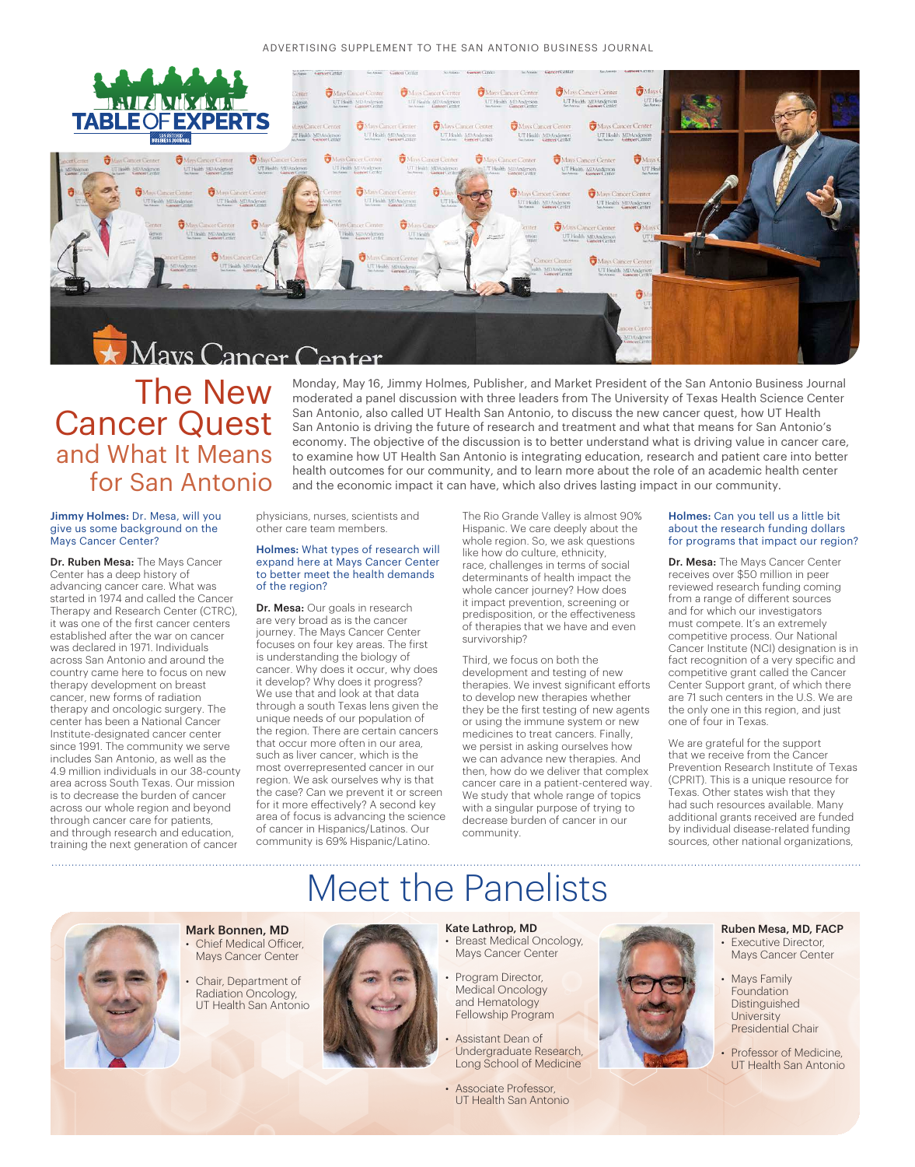

### The New Cancer Quest and What It Means for San Antonio

#### Jimmy Holmes: Dr. Mesa, will you give us some background on the Mays Cancer Center?

Dr. Ruben Mesa: The Mays Cancer Center has a deep history of advancing cancer care. What was started in 1974 and called the Cancer Therapy and Research Center (CTRC), it was one of the first cancer centers established after the war on cancer was declared in 1971. Individuals across San Antonio and around the country came here to focus on new therapy development on breast cancer, new forms of radiation therapy and oncologic surgery. The center has been a National Cancer Institute-designated cancer center since 1991. The community we serve includes San Antonio, as well as the 4.9 million individuals in our 38-county area across South Texas. Our mission is to decrease the burden of cancer across our whole region and beyond through cancer care for patients, and through research and education, training the next generation of cancer

physicians, nurses, scientists and other care team members.

#### Holmes: What types of research will expand here at Mays Cancer Center to better meet the health demands of the region?

Dr. Mesa: Our goals in research are very broad as is the cancer journey. The Mays Cancer Center focuses on four key areas. The first is understanding the biology of cancer. Why does it occur, why does it develop? Why does it progress? We use that and look at that data through a south Texas lens given the unique needs of our population of the region. There are certain cancers that occur more often in our area, such as liver cancer, which is the most overrepresented cancer in our region. We ask ourselves why is that the case? Can we prevent it or screen for it more effectively? A second key area of focus is advancing the science of cancer in Hispanics/Latinos. Our community is 69% Hispanic/Latino.

The Rio Grande Valley is almost 90% Hispanic. We care deeply about the whole region. So, we ask questions like how do culture, ethnicity, race, challenges in terms of social determinants of health impact the whole cancer journey? How does it impact prevention, screening or predisposition, or the effectiveness of therapies that we have and even survivorship?

and the economic impact it can have, which also drives lasting impact in our community.

Monday, May 16, Jimmy Holmes, Publisher, and Market President of the San Antonio Business Journal moderated a panel discussion with three leaders from The University of Texas Health Science Center San Antonio, also called UT Health San Antonio, to discuss the new cancer quest, how UT Health San Antonio is driving the future of research and treatment and what that means for San Antonio's economy. The objective of the discussion is to better understand what is driving value in cancer care, to examine how UT Health San Antonio is integrating education, research and patient care into better health outcomes for our community, and to learn more about the role of an academic health center

> Third, we focus on both the development and testing of new therapies. We invest significant efforts to develop new therapies whether they be the first testing of new agents or using the immune system or new medicines to treat cancers. Finally, we persist in asking ourselves how we can advance new therapies. And then, how do we deliver that complex cancer care in a patient-centered way. We study that whole range of topics with a singular purpose of trying to decrease burden of cancer in our community.

#### Holmes: Can you tell us a little bit about the research funding dollars for programs that impact our region?

Dr. Mesa: The Mays Cancer Center receives over \$50 million in peer reviewed research funding coming from a range of different sources and for which our investigators must compete. It's an extremely competitive process. Our National Cancer Institute (NCI) designation is in fact recognition of a very specific and competitive grant called the Cancer Center Support grant, of which there are 71 such centers in the U.S. We are the only one in this region, and just one of four in Texas.

We are grateful for the support that we receive from the Cancer Prevention Research Institute of Texas (CPRIT). This is a unique resource for Texas. Other states wish that they had such resources available. Many additional grants received are funded by individual disease-related funding sources, other national organizations,



Mark Bonnen, MD Chief Medical Officer, Mays Cancer Center

• Chair, Department of Radiation Oncology, UT Health San Antonio



#### Kate Lathrop, MD

Meet the Panelists

- Breast Medical Oncology, Mays Cancer Center
- Program Director, Medical Oncology and Hematology Fellowship Program
- Assistant Dean of Undergraduate Research, Long School of Medicine
- Associate Professor, UT Health San Antonio

#### Ruben Mesa, MD, FACP **Executive Director,**

- Mays Cancer Center
- **Mays Family** Foundation Distinguished **University** Presidential Chair
- Professor of Medicine, UT Health San Antonio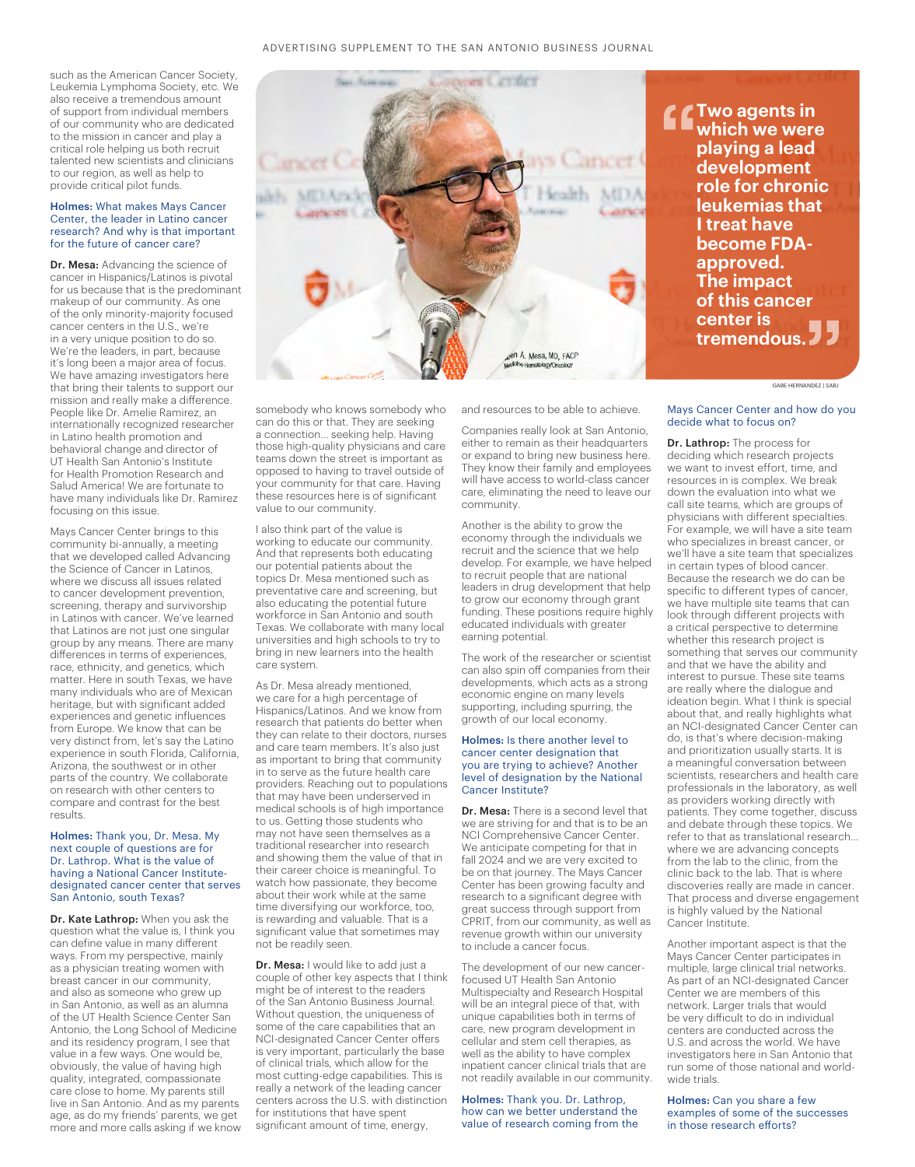such as the American Cancer Society, Leukemia Lymphoma Society, etc. We also receive a tremendous amount of support from individual members of our community who are dedicated to the mission in cancer and play a critical role helping us both recruit talented new scientists and clinicians to our region, as well as help to provide critical pilot funds.

#### Holmes: What makes Mays Cancer Center, the leader in Latino cancer research? And why is that important for the future of cancer care?

Dr. Mesa: Advancing the science of cancer in Hispanics/Latinos is pivotal for us because that is the predominant makeup of our community. As one of the only minority-majority focused cancer centers in the U.S., we're in a very unique position to do so. We're the leaders, in part, because it's long been a major area of focus. We have amazing investigators here that bring their talents to support our mission and really make a difference. People like Dr. Amelie Ramirez, an internationally recognized researcher in Latino health promotion and behavioral change and director of UT Health San Antonio's Institute for Health Promotion Research and Salud America! We are fortunate to have many individuals like Dr. Ramirez focusing on this issue.

Mays Cancer Center brings to this community bi-annually, a meeting that we developed called Advancing the Science of Cancer in Latinos, where we discuss all issues related to cancer development prevention, screening, therapy and survivorship in Latinos with cancer. We've learned that Latinos are not just one singular group by any means. There are many differences in terms of experiences, race, ethnicity, and genetics, which matter. Here in south Texas, we have many individuals who are of Mexican heritage, but with significant added experiences and genetic influences from Europe. We know that can be very distinct from, let's say the Latino experience in south Florida, California, Arizona, the southwest or in other parts of the country. We collaborate on research with other centers to compare and contrast for the best results.

Holmes: Thank you, Dr. Mesa. My next couple of questions are for Dr. Lathrop. What is the value of having a National Cancer Institutedesignated cancer center that serves San Antonio, south Texas?

Dr. Kate Lathrop: When you ask the question what the value is, I think you can define value in many different ways. From my perspective, mainly as a physician treating women with breast cancer in our community, and also as someone who grew up in San Antonio, as well as an alumna of the UT Health Science Center San Antonio, the Long School of Medicine and its residency program, I see that value in a few ways. One would be, obviously, the value of having high quality, integrated, compassionate care close to home. My parents still live in San Antonio. And as my parents age, as do my friends' parents, we get more and more calls asking if we know somebody who knows somebody who can do this or that. They are seeking a connection... seeking help. Having those high-quality physicians and care teams down the street is important as opposed to having to travel outside of your community for that care. Having these resources here is of significant value to our community.

I also think part of the value is working to educate our community. And that represents both educating our potential patients about the topics Dr. Mesa mentioned such as preventative care and screening, but also educating the potential future workforce in San Antonio and south Texas. We collaborate with many local universities and high schools to try to bring in new learners into the health care system.

As Dr. Mesa already mentioned, we care for a high percentage of Hispanics/Latinos. And we know from research that patients do better when they can relate to their doctors, nurses and care team members. It's also just as important to bring that community in to serve as the future health care providers. Reaching out to populations that may have been underserved in medical schools is of high importance to us. Getting those students who may not have seen themselves as a traditional researcher into research and showing them the value of that in their career choice is meaningful. To watch how passionate, they become about their work while at the same time diversifying our workforce, too, is rewarding and valuable. That is a significant value that sometimes may not be readily seen.

Dr. Mesa: I would like to add just a couple of other key aspects that I think might be of interest to the readers of the San Antonio Business Journal. Without question, the uniqueness of some of the care capabilities that an NCI-designated Cancer Center offers is very important, particularly the base of clinical trials, which allow for the most cutting-edge capabilities. This is really a network of the leading cancer centers across the U.S. with distinction for institutions that have spent significant amount of time, energy,

and resources to be able to achieve.

Companies really look at San Antonio, either to remain as their headquarters or expand to bring new business here. They know their family and employees will have access to world-class cancer care, eliminating the need to leave our community.

Another is the ability to grow the economy through the individuals we recruit and the science that we help develop. For example, we have helped to recruit people that are national leaders in drug development that help to grow our economy through grant funding. These positions require highly educated individuals with greater earning potential.

The work of the researcher or scientist can also spin off companies from their developments, which acts as a strong economic engine on many levels supporting, including spurring, the growth of our local economy.

#### Holmes: Is there another level to cancer center designation that you are trying to achieve? Another level of designation by the National Cancer Institute?

Dr. Mesa: There is a second level that we are striving for and that is to be an NCI Comprehensive Cancer Center. We anticipate competing for that in fall 2024 and we are very excited to be on that journey. The Mays Cancer Center has been growing faculty and research to a significant degree with great success through support from CPRIT, from our community, as well as revenue growth within our university to include a cancer focus.

The development of our new cancerfocused UT Health San Antonio Multispecialty and Research Hospital will be an integral piece of that, with unique capabilities both in terms of care, new program development in cellular and stem cell therapies, as well as the ability to have complex inpatient cancer clinical trials that are not readily available in our community.

#### Holmes: Thank you. Dr. Lathrop, how can we better understand the value of research coming from the

Mays Cancer Center and how do you decide what to focus on?

GABE HERNANDEZ | SABJ

Dr. Lathrop: The process for deciding which research projects we want to invest effort, time, and resources in is complex. We break down the evaluation into what we call site teams, which are groups of physicians with different specialties. For example, we will have a site team who specializes in breast cancer, or we'll have a site team that specializes in certain types of blood cancer. Because the research we do can be specific to different types of cancer, we have multiple site teams that can look through different projects with a critical perspective to determine whether this research project is something that serves our community and that we have the ability and interest to pursue. These site teams are really where the dialogue and ideation begin. What I think is special about that, and really highlights what an NCI-designated Cancer Center can do, is that's where decision-making and prioritization usually starts. It is a meaningful conversation between scientists, researchers and health care professionals in the laboratory, as well as providers working directly with patients. They come together, discuss and debate through these topics. We refer to that as translational research... where we are advancing concepts from the lab to the clinic, from the clinic back to the lab. That is where discoveries really are made in cancer. That process and diverse engagement is highly valued by the National Cancer Institute.

Another important aspect is that the Mays Cancer Center participates in multiple, large clinical trial networks. As part of an NCI-designated Cancer Center we are members of this network. Larger trials that would be very difficult to do in individual centers are conducted across the U.S. and across the world. We have investigators here in San Antonio that run some of those national and worldwide trials.

Holmes: Can you share a few examples of some of the successes in those research efforts?

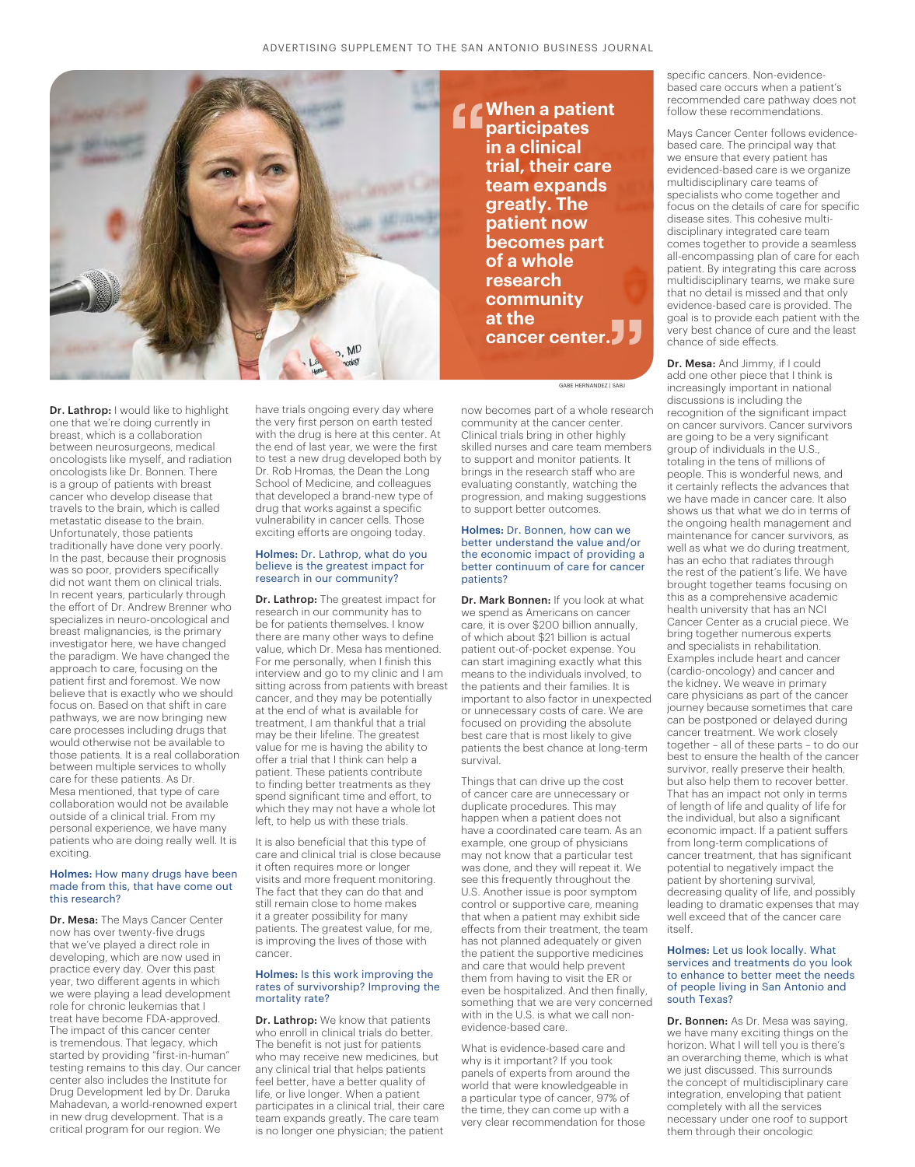

**When a patient participates in a clinical trial, their care team expands greatly. The patient now becomes part of a whole research community at the cancer center.**

GABE HERNANDEZ | SABJ

Dr. Lathrop: I would like to highlight one that we're doing currently in breast, which is a collaboration between neurosurgeons, medical oncologists like myself, and radiation oncologists like Dr. Bonnen. There is a group of patients with breast cancer who develop disease that travels to the brain, which is called metastatic disease to the brain. Unfortunately, those patients traditionally have done very poorly. In the past, because their prognosis was so poor, providers specifically did not want them on clinical trials. In recent years, particularly through the effort of Dr. Andrew Brenner who specializes in neuro-oncological and breast malignancies, is the primary investigator here, we have changed the paradigm. We have changed the approach to care, focusing on the patient first and foremost. We now believe that is exactly who we should focus on. Based on that shift in care pathways, we are now bringing new care processes including drugs that would otherwise not be available to those patients. It is a real collaboration between multiple services to wholly care for these patients. As Dr. Mesa mentioned, that type of care collaboration would not be available outside of a clinical trial. From my personal experience, we have many patients who are doing really well. It is exciting.

#### Holmes: How many drugs have been made from this, that have come out this research?

Dr. Mesa: The Mays Cancer Center now has over twenty-five drugs that we've played a direct role in developing, which are now used in practice every day. Over this past year, two different agents in which we were playing a lead development role for chronic leukemias that I treat have become FDA-approved. The impact of this cancer center is tremendous. That legacy, which started by providing "first-in-human" testing remains to this day. Our cancer center also includes the Institute for Drug Development led by Dr. Daruka Mahadevan, a world-renowned expert in new drug development. That is a critical program for our region. We

have trials ongoing every day where the very first person on earth tested with the drug is here at this center. At the end of last year, we were the first to test a new drug developed both by Dr. Rob Hromas, the Dean the Long School of Medicine, and colleagues that developed a brand-new type of drug that works against a specific vulnerability in cancer cells. Those exciting efforts are ongoing today.

#### Holmes: Dr. Lathrop, what do you believe is the greatest impact for research in our community?

Dr. Lathrop: The greatest impact for research in our community has to be for patients themselves. I know there are many other ways to define value, which Dr. Mesa has mentioned. For me personally, when I finish this interview and go to my clinic and I am sitting across from patients with breast cancer, and they may be potentially at the end of what is available for treatment, I am thankful that a trial may be their lifeline. The greatest value for me is having the ability to offer a trial that I think can help a patient. These patients contribute to finding better treatments as they spend significant time and effort, to which they may not have a whole lot left, to help us with these trials.

It is also beneficial that this type of care and clinical trial is close because it often requires more or longer visits and more frequent monitoring. The fact that they can do that and still remain close to home makes it a greater possibility for many patients. The greatest value, for me, is improving the lives of those with cancer.

#### Holmes: Is this work improving the rates of survivorship? Improving the mortality rate?

Dr. Lathrop: We know that patients who enroll in clinical trials do better. The benefit is not just for patients who may receive new medicines, but any clinical trial that helps patients feel better, have a better quality of life, or live longer. When a patient participates in a clinical trial, their care team expands greatly. The care team is no longer one physician; the patient now becomes part of a whole research community at the cancer center. Clinical trials bring in other highly skilled nurses and care team members to support and monitor patients. It brings in the research staff who are evaluating constantly, watching the progression, and making suggestions to support better outcomes.

#### Holmes: Dr. Bonnen, how can we better understand the value and/or the economic impact of providing a better continuum of care for cancer patients?

Dr. Mark Bonnen: If you look at what we spend as Americans on cancer care, it is over \$200 billion annually, of which about \$21 billion is actual patient out-of-pocket expense. You can start imagining exactly what this means to the individuals involved, to the patients and their families. It is important to also factor in unexpected or unnecessary costs of care. We are focused on providing the absolute best care that is most likely to give patients the best chance at long-term survival.

Things that can drive up the cost of cancer care are unnecessary or duplicate procedures. This may happen when a patient does not have a coordinated care team. As an example, one group of physicians may not know that a particular test was done, and they will repeat it. We see this frequently throughout the U.S. Another issue is poor symptom control or supportive care, meaning that when a patient may exhibit side effects from their treatment, the team has not planned adequately or given the patient the supportive medicines and care that would help prevent them from having to visit the ER or even be hospitalized. And then finally, something that we are very concerned with in the U.S. is what we call nonevidence-based care.

What is evidence-based care and why is it important? If you took panels of experts from around the world that were knowledgeable in a particular type of cancer, 97% of the time, they can come up with a very clear recommendation for those specific cancers. Non-evidencebased care occurs when a patient's recommended care pathway does not follow these recommendations.

Mays Cancer Center follows evidencebased care. The principal way that we ensure that every patient has evidenced-based care is we organize multidisciplinary care teams of specialists who come together and focus on the details of care for specific disease sites. This cohesive multidisciplinary integrated care team comes together to provide a seamless all-encompassing plan of care for each patient. By integrating this care across multidisciplinary teams, we make sure that no detail is missed and that only evidence-based care is provided. The goal is to provide each patient with the very best chance of cure and the least chance of side effects.

Dr. Mesa: And Jimmy, if I could add one other piece that I think is increasingly important in national discussions is including the recognition of the significant impact on cancer survivors. Cancer survivors are going to be a very significant group of individuals in the U.S., totaling in the tens of millions of people. This is wonderful news, and it certainly reflects the advances that we have made in cancer care. It also shows us that what we do in terms of the ongoing health management and maintenance for cancer survivors, as well as what we do during treatment, has an echo that radiates through the rest of the patient's life. We have brought together teams focusing on this as a comprehensive academic health university that has an NCI Cancer Center as a crucial piece. We bring together numerous experts and specialists in rehabilitation. Examples include heart and cancer (cardio-oncology) and cancer and the kidney. We weave in primary care physicians as part of the cancer journey because sometimes that care can be postponed or delayed during cancer treatment. We work closely together – all of these parts – to do our best to ensure the health of the cancer survivor, really preserve their health, but also help them to recover better. That has an impact not only in terms of length of life and quality of life for the individual, but also a significant economic impact. If a patient suffers from long-term complications of cancer treatment, that has significant potential to negatively impact the patient by shortening survival, decreasing quality of life, and possibly leading to dramatic expenses that may well exceed that of the cancer care itself.

#### Holmes: Let us look locally. What services and treatments do you look to enhance to better meet the needs of people living in San Antonio and south Texas?

Dr. Bonnen: As Dr. Mesa was saying, we have many exciting things on the horizon. What I will tell you is there's an overarching theme, which is what we just discussed. This surrounds the concept of multidisciplinary care integration, enveloping that patient completely with all the services necessary under one roof to support them through their oncologic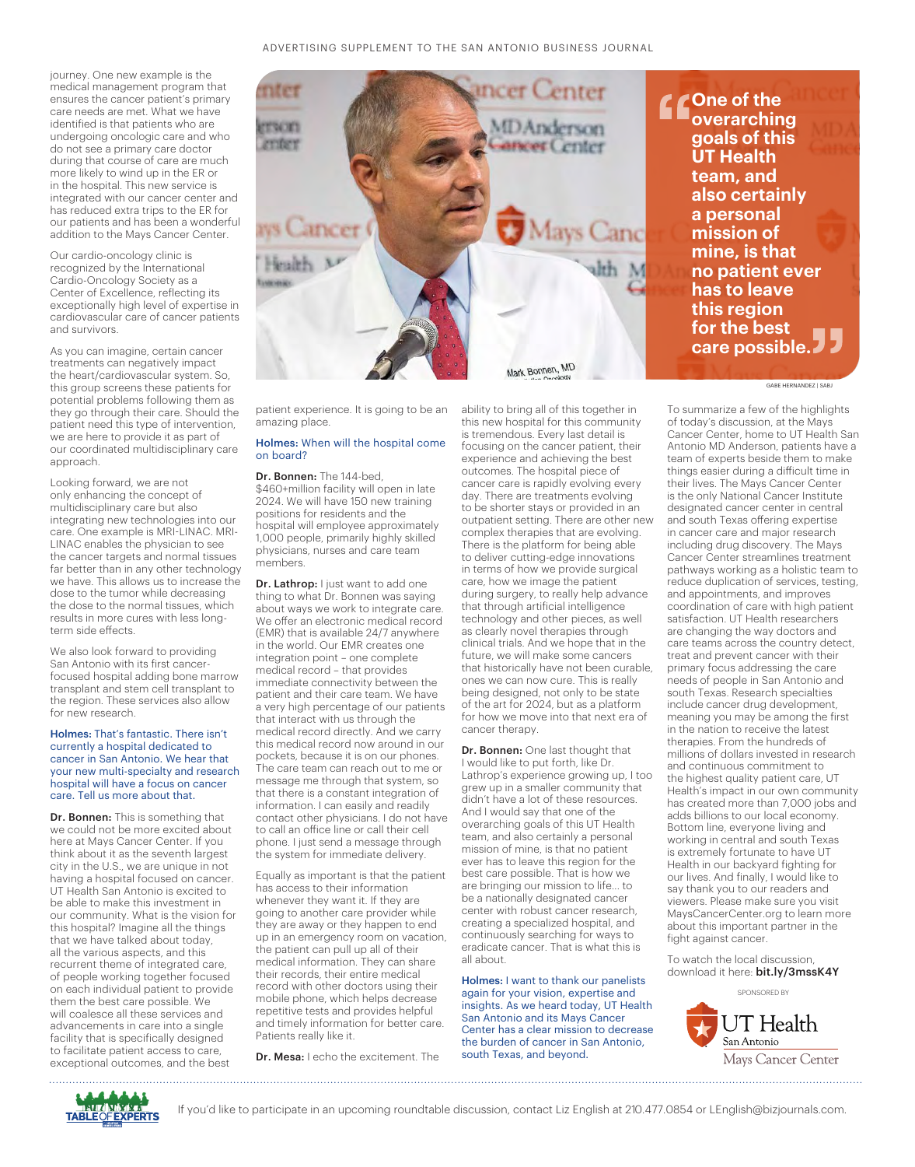journey. One new example is the medical management program that ensures the cancer patient's primary care needs are met. What we have identified is that patients who are undergoing oncologic care and who do not see a primary care doctor during that course of care are much more likely to wind up in the ER or in the hospital. This new service is integrated with our cancer center and has reduced extra trips to the ER for our patients and has been a wonderful addition to the Mays Cancer Center.

Our cardio-oncology clinic is recognized by the International Cardio-Oncology Society as a Center of Excellence, reflecting its exceptionally high level of expertise in cardiovascular care of cancer patients and survivors.

As you can imagine, certain cancer treatments can negatively impact the heart/cardiovascular system. So, this group screens these patients for potential problems following them as they go through their care. Should the patient need this type of intervention, we are here to provide it as part of our coordinated multidisciplinary care approach.

Looking forward, we are not only enhancing the concept of multidisciplinary care but also integrating new technologies into our care. One example is MRI-LINAC. MRI-LINAC enables the physician to see the cancer targets and normal tissues far better than in any other technology we have. This allows us to increase the dose to the tumor while decreasing the dose to the normal tissues, which results in more cures with less longterm side effects.

We also look forward to providing San Antonio with its first cancerfocused hospital adding bone marrow transplant and stem cell transplant to the region. These services also allow for new research.

#### Holmes: That's fantastic. There isn't currently a hospital dedicated to cancer in San Antonio. We hear that your new multi-specialty and research hospital will have a focus on cancer care. Tell us more about that.

Dr. Bonnen: This is something that we could not be more excited about here at Mays Cancer Center. If you think about it as the seventh largest city in the U.S., we are unique in not having a hospital focused on cancer. UT Health San Antonio is excited to be able to make this investment in our community. What is the vision for this hospital? Imagine all the things that we have talked about today, all the various aspects, and this recurrent theme of integrated care, of people working together focused on each individual patient to provide them the best care possible. We will coalesce all these services and advancements in care into a single facility that is specifically designed to facilitate patient access to care, exceptional outcomes, and the best



patient experience. It is going to be an amazing place.

#### Holmes: When will the hospital come on board?

Dr. Bonnen: The 144-bed, \$460+million facility will open in late 2024. We will have 150 new training positions for residents and the hospital will employee approximately 1,000 people, primarily highly skilled physicians, nurses and care team members.

Dr. Lathrop: I just want to add one thing to what Dr. Bonnen was saying about ways we work to integrate care. We offer an electronic medical record (EMR) that is available 24/7 anywhere in the world. Our EMR creates one integration point – one complete medical record – that provides immediate connectivity between the patient and their care team. We have a very high percentage of our patients that interact with us through the medical record directly. And we carry this medical record now around in our pockets, because it is on our phones. The care team can reach out to me or message me through that system, so that there is a constant integration of information. I can easily and readily contact other physicians. I do not have to call an office line or call their cell phone. I just send a message through the system for immediate delivery.

Equally as important is that the patient has access to their information whenever they want it. If they are going to another care provider while they are away or they happen to end up in an emergency room on vacation, the patient can pull up all of their medical information. They can share their records, their entire medical record with other doctors using their mobile phone, which helps decrease repetitive tests and provides helpful and timely information for better care. Patients really like it.

Dr. Mesa: I echo the excitement. The

ability to bring all of this together in this new hospital for this community is tremendous. Every last detail is focusing on the cancer patient, their experience and achieving the best outcomes. The hospital piece of cancer care is rapidly evolving every day. There are treatments evolving to be shorter stays or provided in an outpatient setting. There are other new complex therapies that are evolving. There is the platform for being able to deliver cutting-edge innovations in terms of how we provide surgical care, how we image the patient during surgery, to really help advance that through artificial intelligence technology and other pieces, as well as clearly novel therapies through clinical trials. And we hope that in the future, we will make some cancers that historically have not been curable, ones we can now cure. This is really being designed, not only to be state of the art for 2024, but as a platform for how we move into that next era of cancer therapy.

Dr. Bonnen: One last thought that I would like to put forth, like Dr. Lathrop's experience growing up, I too grew up in a smaller community that didn't have a lot of these resources. And I would say that one of the overarching goals of this UT Health team, and also certainly a personal mission of mine, is that no patient ever has to leave this region for the best care possible. That is how we are bringing our mission to life... to be a nationally designated cancer center with robust cancer research, creating a specialized hospital, and continuously searching for ways to eradicate cancer. That is what this is all about.

Holmes: I want to thank our panelists again for your vision, expertise and insights. As we heard today, UT Health San Antonio and its Mays Cancer Center has a clear mission to decrease the burden of cancer in San Antonio, south Texas, and beyond.

To summarize a few of the highlights of today's discussion, at the Mays Cancer Center, home to UT Health San Antonio MD Anderson, patients have a team of experts beside them to make things easier during a difficult time in their lives. The Mays Cancer Center is the only National Cancer Institute designated cancer center in central and south Texas offering expertise in cancer care and major research including drug discovery. The Mays Cancer Center streamlines treatment pathways working as a holistic team to reduce duplication of services, testing, and appointments, and improves coordination of care with high patient satisfaction. UT Health researchers are changing the way doctors and care teams across the country detect, treat and prevent cancer with their primary focus addressing the care needs of people in San Antonio and south Texas. Research specialties include cancer drug development, meaning you may be among the first in the nation to receive the latest therapies. From the hundreds of millions of dollars invested in research and continuous commitment to the highest quality patient care, UT Health's impact in our own community has created more than 7,000 jobs and adds billions to our local economy. Bottom line, everyone living and working in central and south Texas is extremely fortunate to have UT Health in our backyard fighting for our lives. And finally, I would like to say thank you to our readers and viewers. Please make sure you visit MaysCancerCenter.org to learn more about this important partner in the fight against cancer.

To watch the local discussion, download it here: bit.ly/3mssK4Y





#### GABE HERNANDEZ | SABJ